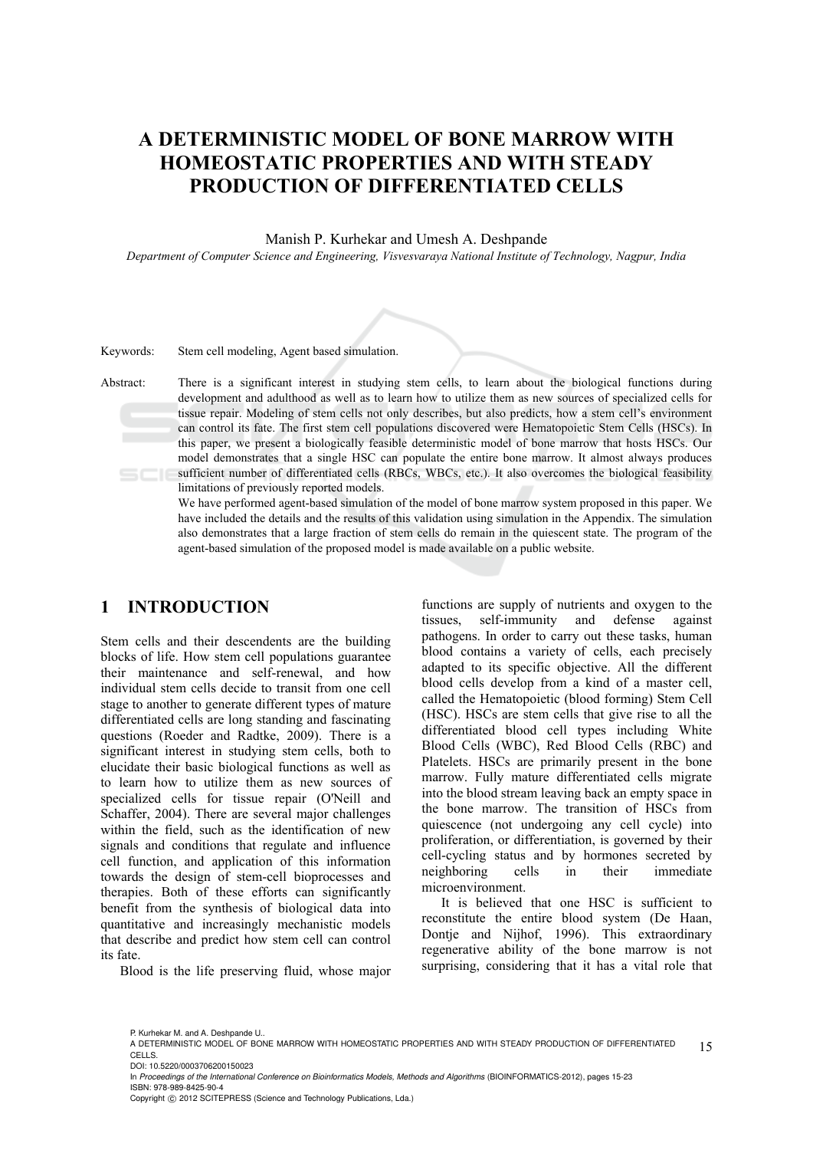# **A DETERMINISTIC MODEL OF BONE MARROW WITH HOMEOSTATIC PROPERTIES AND WITH STEADY PRODUCTION OF DIFFERENTIATED CELLS**

Manish P. Kurhekar and Umesh A. Deshpande

*Department of Computer Science and Engineering, Visvesvaraya National Institute of Technology, Nagpur, India* 

| Keywords: | Stem cell modeling, Agent based simulation.                                                                                                                                                                                                                                                                                                                                                                                                                                                                                                                                                                                                                                                                                                                                                                                 |
|-----------|-----------------------------------------------------------------------------------------------------------------------------------------------------------------------------------------------------------------------------------------------------------------------------------------------------------------------------------------------------------------------------------------------------------------------------------------------------------------------------------------------------------------------------------------------------------------------------------------------------------------------------------------------------------------------------------------------------------------------------------------------------------------------------------------------------------------------------|
| Abstract: | There is a significant interest in studying stem cells, to learn about the biological functions during<br>development and adulthood as well as to learn how to utilize them as new sources of specialized cells for<br>tissue repair. Modeling of stem cells not only describes, but also predicts, how a stem cell's environment<br>can control its fate. The first stem cell populations discovered were Hematopoietic Stem Cells (HSCs). In<br>this paper, we present a biologically feasible deterministic model of bone marrow that hosts HSCs. Our<br>model demonstrates that a single HSC can populate the entire bone marrow. It almost always produces<br>sufficient number of differentiated cells (RBCs, WBCs, etc.). It also overcomes the biological feasibility<br>limitations of previously reported models. |
|           | We have performed agent-based simulation of the model of bone marrow system proposed in this paper. We                                                                                                                                                                                                                                                                                                                                                                                                                                                                                                                                                                                                                                                                                                                      |
|           | have included the details and the results of this validation using simulation in the Appendix. The simulation                                                                                                                                                                                                                                                                                                                                                                                                                                                                                                                                                                                                                                                                                                               |
|           | also demonstrates that a large fraction of stem cells do remain in the quiescent state. The program of the                                                                                                                                                                                                                                                                                                                                                                                                                                                                                                                                                                                                                                                                                                                  |

agent-based simulation of the proposed model is made available on a public website.

## **1 INTRODUCTION**

Stem cells and their descendents are the building blocks of life. How stem cell populations guarantee their maintenance and self-renewal, and how individual stem cells decide to transit from one cell stage to another to generate different types of mature differentiated cells are long standing and fascinating questions (Roeder and Radtke, 2009). There is a significant interest in studying stem cells, both to elucidate their basic biological functions as well as to learn how to utilize them as new sources of specialized cells for tissue repair (O'Neill and Schaffer, 2004). There are several major challenges within the field, such as the identification of new signals and conditions that regulate and influence cell function, and application of this information towards the design of stem-cell bioprocesses and therapies. Both of these efforts can significantly benefit from the synthesis of biological data into quantitative and increasingly mechanistic models that describe and predict how stem cell can control its fate.

Blood is the life preserving fluid, whose major

functions are supply of nutrients and oxygen to the tissues, self-immunity and defense against pathogens. In order to carry out these tasks, human blood contains a variety of cells, each precisely adapted to its specific objective. All the different blood cells develop from a kind of a master cell, called the Hematopoietic (blood forming) Stem Cell (HSC). HSCs are stem cells that give rise to all the differentiated blood cell types including White Blood Cells (WBC), Red Blood Cells (RBC) and Platelets. HSCs are primarily present in the bone marrow. Fully mature differentiated cells migrate into the blood stream leaving back an empty space in the bone marrow. The transition of HSCs from quiescence (not undergoing any cell cycle) into proliferation, or differentiation, is governed by their cell-cycling status and by hormones secreted by neighboring cells in their immediate microenvironment.

It is believed that one HSC is sufficient to reconstitute the entire blood system (De Haan, Dontje and Nijhof, 1996). This extraordinary regenerative ability of the bone marrow is not surprising, considering that it has a vital role that

DOI: 10.5220/0003706200150023

P. Kurhekar M. and A. Deshnande II.

<sup>15</sup> A DETERMINISTIC MODEL OF BONE MARROW WITH HOMEOSTATIC PROPERTIES AND WITH STEADY PRODUCTION OF DIFFERENTIATED CELLS.

In *Proceedings of the International Conference on Bioinformatics Models, Methods and Algorithms* (BIOINFORMATICS-2012), pages 15-23 ISBN: 978-989-8425-90-4

Copyright © 2012 SCITEPRESS (Science and Technology Publications, Lda.)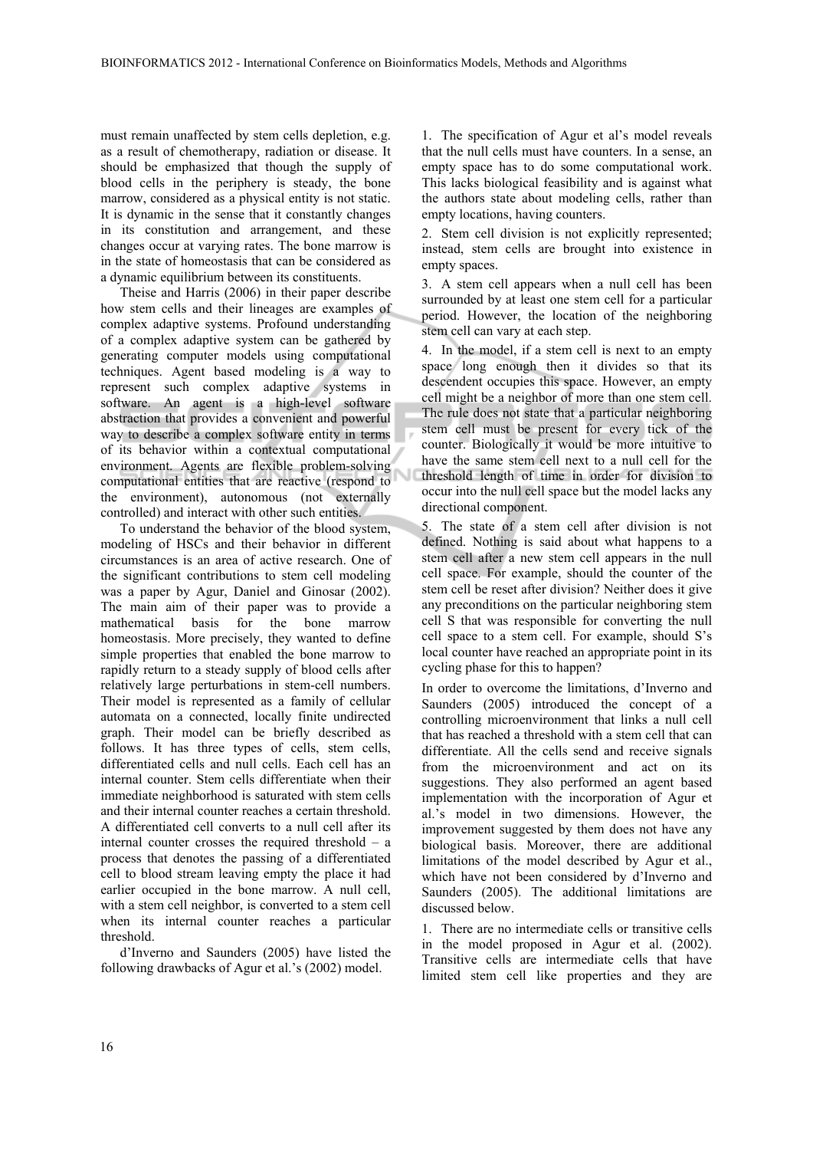must remain unaffected by stem cells depletion, e.g. as a result of chemotherapy, radiation or disease. It should be emphasized that though the supply of blood cells in the periphery is steady, the bone marrow, considered as a physical entity is not static. It is dynamic in the sense that it constantly changes in its constitution and arrangement, and these changes occur at varying rates. The bone marrow is in the state of homeostasis that can be considered as a dynamic equilibrium between its constituents.

Theise and Harris (2006) in their paper describe how stem cells and their lineages are examples of complex adaptive systems. Profound understanding of a complex adaptive system can be gathered by generating computer models using computational techniques. Agent based modeling is a way to represent such complex adaptive systems in software. An agent is a high-level software abstraction that provides a convenient and powerful way to describe a complex software entity in terms of its behavior within a contextual computational environment. Agents are flexible problem-solving computational entities that are reactive (respond to the environment), autonomous (not externally controlled) and interact with other such entities.

To understand the behavior of the blood system, modeling of HSCs and their behavior in different circumstances is an area of active research. One of the significant contributions to stem cell modeling was a paper by Agur, Daniel and Ginosar (2002). The main aim of their paper was to provide a mathematical basis for the bone marrow homeostasis. More precisely, they wanted to define simple properties that enabled the bone marrow to rapidly return to a steady supply of blood cells after relatively large perturbations in stem-cell numbers. Their model is represented as a family of cellular automata on a connected, locally finite undirected graph. Their model can be briefly described as follows. It has three types of cells, stem cells, differentiated cells and null cells. Each cell has an internal counter. Stem cells differentiate when their immediate neighborhood is saturated with stem cells and their internal counter reaches a certain threshold. A differentiated cell converts to a null cell after its internal counter crosses the required threshold – a process that denotes the passing of a differentiated cell to blood stream leaving empty the place it had earlier occupied in the bone marrow. A null cell, with a stem cell neighbor, is converted to a stem cell when its internal counter reaches a particular threshold.

d'Inverno and Saunders (2005) have listed the following drawbacks of Agur et al.'s (2002) model.

1. The specification of Agur et al's model reveals that the null cells must have counters. In a sense, an empty space has to do some computational work. This lacks biological feasibility and is against what the authors state about modeling cells, rather than empty locations, having counters.

2. Stem cell division is not explicitly represented; instead, stem cells are brought into existence in empty spaces.

3. A stem cell appears when a null cell has been surrounded by at least one stem cell for a particular period. However, the location of the neighboring stem cell can vary at each step.

4. In the model, if a stem cell is next to an empty space long enough then it divides so that its descendent occupies this space. However, an empty cell might be a neighbor of more than one stem cell. The rule does not state that a particular neighboring stem cell must be present for every tick of the counter. Biologically it would be more intuitive to have the same stem cell next to a null cell for the threshold length of time in order for division to occur into the null cell space but the model lacks any directional component.

5. The state of a stem cell after division is not defined. Nothing is said about what happens to a stem cell after a new stem cell appears in the null cell space. For example, should the counter of the stem cell be reset after division? Neither does it give any preconditions on the particular neighboring stem cell S that was responsible for converting the null cell space to a stem cell. For example, should S's local counter have reached an appropriate point in its cycling phase for this to happen?

In order to overcome the limitations, d'Inverno and Saunders (2005) introduced the concept of a controlling microenvironment that links a null cell that has reached a threshold with a stem cell that can differentiate. All the cells send and receive signals from the microenvironment and act on its suggestions. They also performed an agent based implementation with the incorporation of Agur et al.'s model in two dimensions. However, the improvement suggested by them does not have any biological basis. Moreover, there are additional limitations of the model described by Agur et al., which have not been considered by d'Inverno and Saunders (2005). The additional limitations are discussed below.

1. There are no intermediate cells or transitive cells in the model proposed in Agur et al. (2002). Transitive cells are intermediate cells that have limited stem cell like properties and they are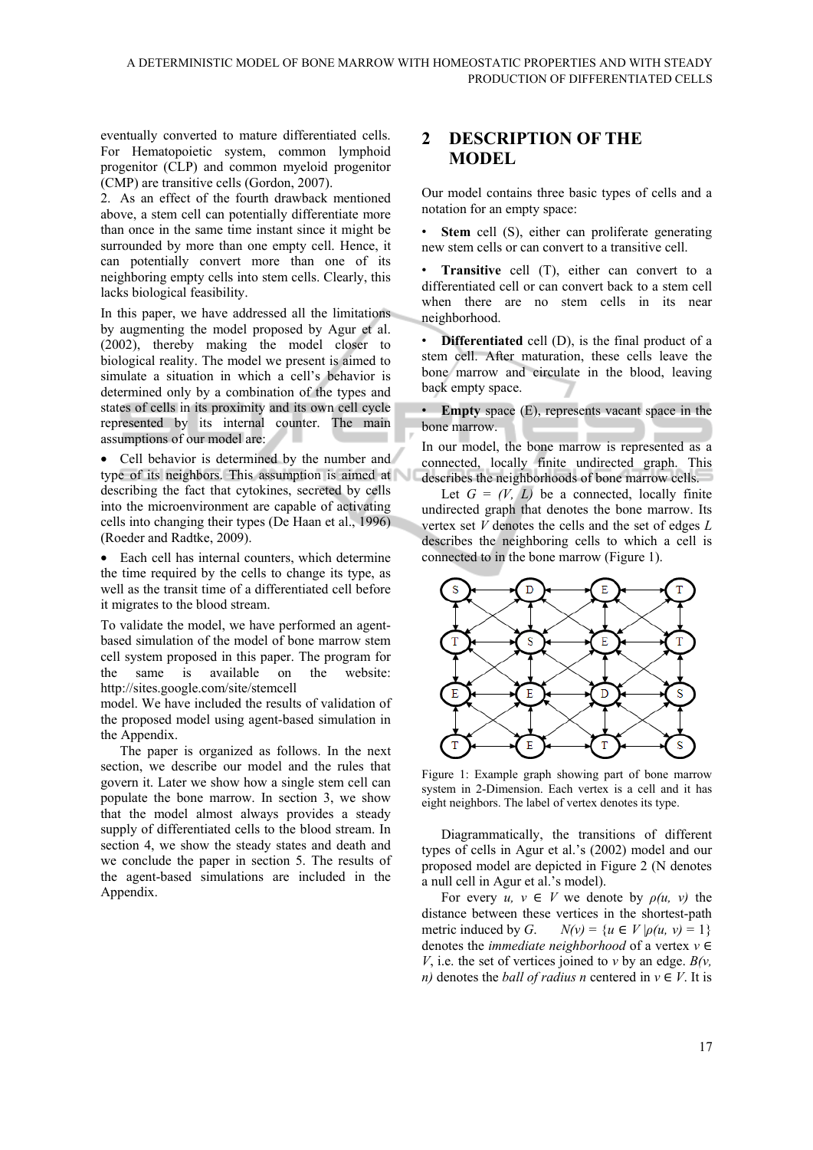eventually converted to mature differentiated cells. For Hematopoietic system, common lymphoid progenitor (CLP) and common myeloid progenitor (CMP) are transitive cells (Gordon, 2007).

2. As an effect of the fourth drawback mentioned above, a stem cell can potentially differentiate more than once in the same time instant since it might be surrounded by more than one empty cell. Hence, it can potentially convert more than one of its neighboring empty cells into stem cells. Clearly, this lacks biological feasibility.

In this paper, we have addressed all the limitations by augmenting the model proposed by Agur et al. (2002), thereby making the model closer to biological reality. The model we present is aimed to simulate a situation in which a cell's behavior is determined only by a combination of the types and states of cells in its proximity and its own cell cycle represented by its internal counter. The main assumptions of our model are:

• Cell behavior is determined by the number and type of its neighbors. This assumption is aimed at describing the fact that cytokines, secreted by cells into the microenvironment are capable of activating cells into changing their types (De Haan et al., 1996) (Roeder and Radtke, 2009).

• Each cell has internal counters, which determine the time required by the cells to change its type, as well as the transit time of a differentiated cell before it migrates to the blood stream.

To validate the model, we have performed an agentbased simulation of the model of bone marrow stem cell system proposed in this paper. The program for the same is available on the website: http://sites.google.com/site/stemcell

model. We have included the results of validation of the proposed model using agent-based simulation in the Appendix.

The paper is organized as follows. In the next section, we describe our model and the rules that govern it. Later we show how a single stem cell can populate the bone marrow. In section 3, we show that the model almost always provides a steady supply of differentiated cells to the blood stream. In section 4, we show the steady states and death and we conclude the paper in section 5. The results of the agent-based simulations are included in the Appendix.

# **2 DESCRIPTION OF THE MODEL**

Our model contains three basic types of cells and a notation for an empty space:

**Stem cell (S), either can proliferate generating** new stem cells or can convert to a transitive cell.

**Transitive** cell (T), either can convert to a differentiated cell or can convert back to a stem cell when there are no stem cells in its near neighborhood.

**Differentiated** cell (D), is the final product of a stem cell. After maturation, these cells leave the bone marrow and circulate in the blood, leaving back empty space.

• **Empty** space (E), represents vacant space in the bone marrow.

In our model, the bone marrow is represented as a connected, locally finite undirected graph. This describes the neighborhoods of bone marrow cells.

Let  $G = (V, L)$  be a connected, locally finite undirected graph that denotes the bone marrow. Its vertex set *V* denotes the cells and the set of edges *L*  describes the neighboring cells to which a cell is connected to in the bone marrow (Figure 1).



Figure 1: Example graph showing part of bone marrow system in 2-Dimension. Each vertex is a cell and it has eight neighbors. The label of vertex denotes its type.

Diagrammatically, the transitions of different types of cells in Agur et al.'s (2002) model and our proposed model are depicted in Figure 2 (N denotes a null cell in Agur et al.'s model).

For every  $u, v \in V$  we denote by  $\rho(u, v)$  the distance between these vertices in the shortest-path metric induced by *G*.  $N(v) = \{u \in V | \rho(u, v) = 1\}$ denotes the *immediate neighborhood* of a vertex *v* ∈ *V*, i.e. the set of vertices joined to *v* by an edge.  $B(v,$ *n*) denotes the *ball of radius n* centered in  $v \in V$ . It is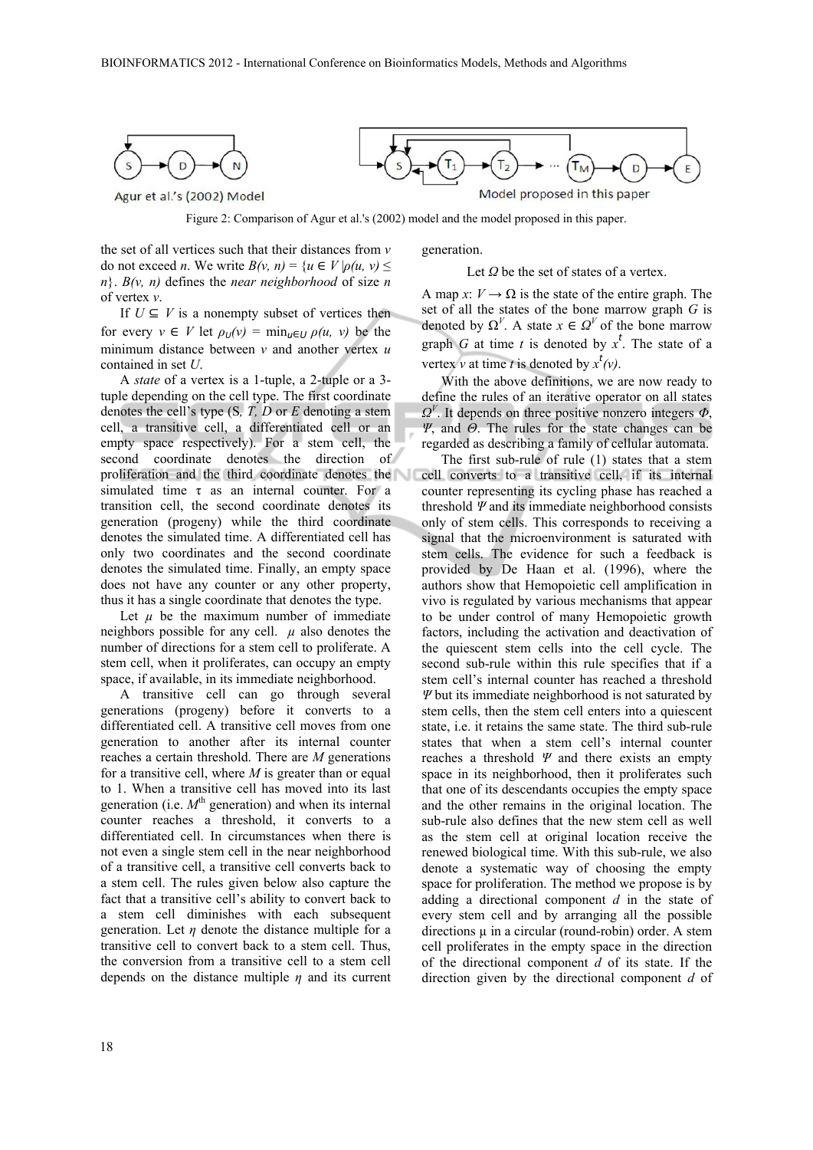

 $T_{\rm M}$ Т٠ Model proposed in this paper

Agur et al.'s (2002) Model

Figure 2: Comparison of Agur et al.'s (2002) model and the model proposed in this paper.

the set of all vertices such that their distances from *v*  do not exceed *n*. We write  $B(v, n) = \{u \in V | \rho(u, v) \leq$  $n$ }. *B*(*v*, *n*) defines the *near neighborhood* of size *n* of vertex *v*.

If  $U \subseteq V$  is a nonempty subset of vertices then for every  $v \in V$  let  $\rho_U(v) = \min_{u \in U} \rho(u, v)$  be the minimum distance between *v* and another vertex *u* contained in set *U*.

A *state* of a vertex is a 1-tuple, a 2-tuple or a 3 tuple depending on the cell type. The first coordinate denotes the cell's type (S*, T, D* or *E* denoting a stem cell, a transitive cell, a differentiated cell or an empty space respectively). For a stem cell, the second coordinate denotes the direction of proliferation and the third coordinate denotes the simulated time  $\tau$  as an internal counter. For a transition cell, the second coordinate denotes its generation (progeny) while the third coordinate denotes the simulated time. A differentiated cell has only two coordinates and the second coordinate denotes the simulated time. Finally, an empty space does not have any counter or any other property, thus it has a single coordinate that denotes the type.

Let  $\mu$  be the maximum number of immediate neighbors possible for any cell.  $\mu$  also denotes the number of directions for a stem cell to proliferate. A stem cell, when it proliferates, can occupy an empty space, if available, in its immediate neighborhood.

A transitive cell can go through several generations (progeny) before it converts to a differentiated cell. A transitive cell moves from one generation to another after its internal counter reaches a certain threshold. There are *M* generations for a transitive cell, where *M* is greater than or equal to 1. When a transitive cell has moved into its last generation (i.e.  $M^{\text{th}}$  generation) and when its internal counter reaches a threshold, it converts to a differentiated cell. In circumstances when there is not even a single stem cell in the near neighborhood of a transitive cell, a transitive cell converts back to a stem cell. The rules given below also capture the fact that a transitive cell's ability to convert back to a stem cell diminishes with each subsequent generation. Let  $\eta$  denote the distance multiple for a transitive cell to convert back to a stem cell. Thus, the conversion from a transitive cell to a stem cell depends on the distance multiple *η* and its current generation.

Let *Ω* be the set of states of a vertex.

A map *x*:  $V \rightarrow \Omega$  is the state of the entire graph. The set of all the states of the bone marrow graph *G* is denoted by  $\Omega^V$ . A state  $x \in \Omega^V$  of the bone marrow graph *G* at time *t* is denoted by  $x^t$ . The state of a vertex *v* at time *t* is denoted by  $x^t(v)$ .

With the above definitions, we are now ready to define the rules of an iterative operator on all states  $Q<sup>V</sup>$ . It depends on three positive nonzero integers  $Φ$ , *Ψ*, and *Θ*. The rules for the state changes can be regarded as describing a family of cellular automata.

The first sub-rule of rule (1) states that a stem cell converts to a transitive cell, if its internal counter representing its cycling phase has reached a threshold *Ψ* and its immediate neighborhood consists only of stem cells. This corresponds to receiving a signal that the microenvironment is saturated with stem cells. The evidence for such a feedback is provided by De Haan et al. (1996), where the authors show that Hemopoietic cell amplification in vivo is regulated by various mechanisms that appear to be under control of many Hemopoietic growth factors, including the activation and deactivation of the quiescent stem cells into the cell cycle. The second sub-rule within this rule specifies that if a stem cell's internal counter has reached a threshold *Ψ* but its immediate neighborhood is not saturated by stem cells, then the stem cell enters into a quiescent state, i.e. it retains the same state. The third sub-rule states that when a stem cell's internal counter reaches a threshold *Ψ* and there exists an empty space in its neighborhood, then it proliferates such that one of its descendants occupies the empty space and the other remains in the original location. The sub-rule also defines that the new stem cell as well as the stem cell at original location receive the renewed biological time. With this sub-rule, we also denote a systematic way of choosing the empty space for proliferation. The method we propose is by adding a directional component *d* in the state of every stem cell and by arranging all the possible directions  $\mu$  in a circular (round-robin) order. A stem cell proliferates in the empty space in the direction of the directional component *d* of its state. If the direction given by the directional component *d* of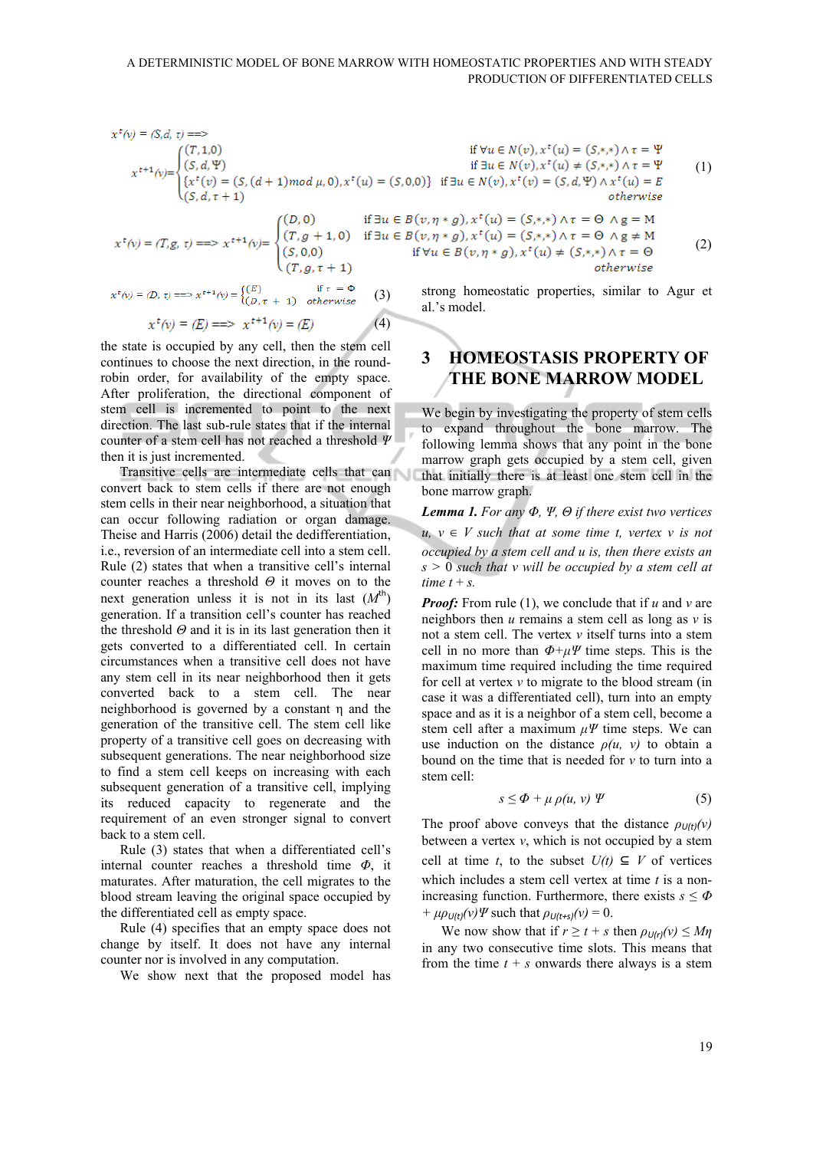$$
x^{t}(v) = (S,d, \tau) = \Rightarrow
$$
  
\nif  $\forall u \in N(v), x^{t}(u) = (S,*,*) \land \tau = \Psi$   
\nif  $\exists u \in N(v), x^{t}(u) = (S,*,*) \land \tau = \Psi$   
\nif  $\exists u \in N(v), x^{t}(u) \neq (S,*,*) \land \tau = \Psi$   
\nif  $\exists u \in N(v), x^{t}(u) \neq (S,*,*) \land \tau = \Psi$   
\nif  $\exists u \in N(v), x^{t}(u) \neq (S,*,*) \land \tau = \Psi$   
\nif  $\exists u \in N(v), x^{t}(u) \neq (S,*,*) \land \tau = \Psi$   
\nif  $\exists u \in N(v), x^{t}(u) \neq (S,*,*) \land \tau = \Psi$   
\notherwise  
\n
$$
(S, d, \tau + 1)
$$
\n
$$
(S, d, \tau + 1)
$$
\n
$$
(S, d, \tau + 1)
$$
\n
$$
(S, d, \tau + 1)
$$
\n
$$
(S, d, \tau + 1)
$$
\n
$$
(S, d, \tau + 1)
$$
\n
$$
(S, d, \tau + 1)
$$
\n
$$
(S, d, \tau + 1)
$$
\n
$$
(S, d, \tau + 1)
$$
\n
$$
(S, d, \tau + 1)
$$

 $(4)$ 

$$
x^{t}(v) = (T, g, \tau) \Longrightarrow x^{t+1}(v) = \begin{cases} (T, g+1, 0) & \text{if } \exists u \in \mathbb{R} \\ (S, 0, 0) \\ (T, g, \tau+1) \end{cases}
$$

$$
x^{t}(v) = (D, \tau) \Longrightarrow x^{t+1}(v) = \begin{cases} (E) & \text{if } \tau = \Phi \\ (D, \tau+1) & otherwise \end{cases}
$$
(3)

$$
x^t(v) = (E) == > x^{t+1}(v) = (E)
$$

the state is occupied by any cell, then the stem cell continues to choose the next direction, in the roundrobin order, for availability of the empty space. After proliferation, the directional component of stem cell is incremented to point to the next direction. The last sub-rule states that if the internal counter of a stem cell has not reached a threshold *Ψ* then it is just incremented.

Transitive cells are intermediate cells that can convert back to stem cells if there are not enough stem cells in their near neighborhood, a situation that can occur following radiation or organ damage. Theise and Harris (2006) detail the dedifferentiation, i.e., reversion of an intermediate cell into a stem cell. Rule (2) states that when a transitive cell's internal counter reaches a threshold *Θ* it moves on to the next generation unless it is not in its last  $(M<sup>th</sup>)$ generation. If a transition cell's counter has reached the threshold *Θ* and it is in its last generation then it gets converted to a differentiated cell. In certain circumstances when a transitive cell does not have any stem cell in its near neighborhood then it gets converted back to a stem cell. The near neighborhood is governed by a constant η and the generation of the transitive cell. The stem cell like property of a transitive cell goes on decreasing with subsequent generations. The near neighborhood size to find a stem cell keeps on increasing with each subsequent generation of a transitive cell, implying its reduced capacity to regenerate and the requirement of an even stronger signal to convert back to a stem cell.

Rule (3) states that when a differentiated cell's internal counter reaches a threshold time *Φ*, it maturates. After maturation, the cell migrates to the blood stream leaving the original space occupied by the differentiated cell as empty space.

Rule (4) specifies that an empty space does not change by itself. It does not have any internal counter nor is involved in any computation.

We show next that the proposed model has

if 
$$
\forall u \in N(v), x^*(u) = (S, *, *) \land \tau = \Psi
$$
  
if  $\exists u \in N(v), x^*(u) \neq (S, *, *) \land \tau = \Psi$   
 $f \exists u \in N(v), x^*(v) = (S, d, \Psi) \land x^*(u) = E$   
otherwise

if 
$$
\exists u \in B(v, \eta * g), x^t(u) = (S, *, *) \land \tau = \Theta \land g = M
$$
  
\n0) if  $\exists u \in B(v, \eta * g), x^t(u) = (S, *, *) \land \tau = \Theta \land g \neq M$   
\nif  $\forall u \in B(v, \eta * g), x^t(u) \neq (S, *, *) \land \tau = \Theta$   
\n1) otherwise (2)

strong homeostatic properties, similar to Agur et al.'s model.

## **3 HOMEOSTASIS PROPERTY OF THE BONE MARROW MODEL**

We begin by investigating the property of stem cells to expand throughout the bone marrow. The following lemma shows that any point in the bone marrow graph gets occupied by a stem cell, given that initially there is at least one stem cell in the bone marrow graph.

*Lemma 1. For any Φ, Ψ, Θ if there exist two vertices*   $u, v \in V$  such that at some time t, vertex v is not *occupied by a stem cell and u is, then there exists an s >* 0 *such that v will be occupied by a stem cell at time*  $t + s$ *.* 

*Proof:* From rule (1), we conclude that if *u* and *v* are neighbors then *u* remains a stem cell as long as *v* is not a stem cell. The vertex *v* itself turns into a stem cell in no more than  $\Phi + \mu \Psi$  time steps. This is the maximum time required including the time required for cell at vertex *v* to migrate to the blood stream (in case it was a differentiated cell), turn into an empty space and as it is a neighbor of a stem cell, become a stem cell after a maximum *μΨ* time steps. We can use induction on the distance *ρ(u, v)* to obtain a bound on the time that is needed for *v* to turn into a stem cell:

$$
s \le \Phi + \mu \rho(u, v) \Psi \tag{5}
$$

The proof above conveys that the distance  $\rho_{U(t)}(v)$ between a vertex  $v$ , which is not occupied by a stem cell at time *t*, to the subset  $U(t)$  ⊆ *V* of vertices which includes a stem cell vertex at time *t* is a nonincreasing function. Furthermore, there exists  $s \leq \Phi$ *+*  $\mu \rho_{U(t)}(v) \Psi$  such that  $\rho_{U(t+s)}(v) = 0$ .

We now show that if  $r \ge t + s$  then  $\rho_{U(r)}(v) \le M\eta$ in any two consecutive time slots. This means that from the time  $t + s$  onwards there always is a stem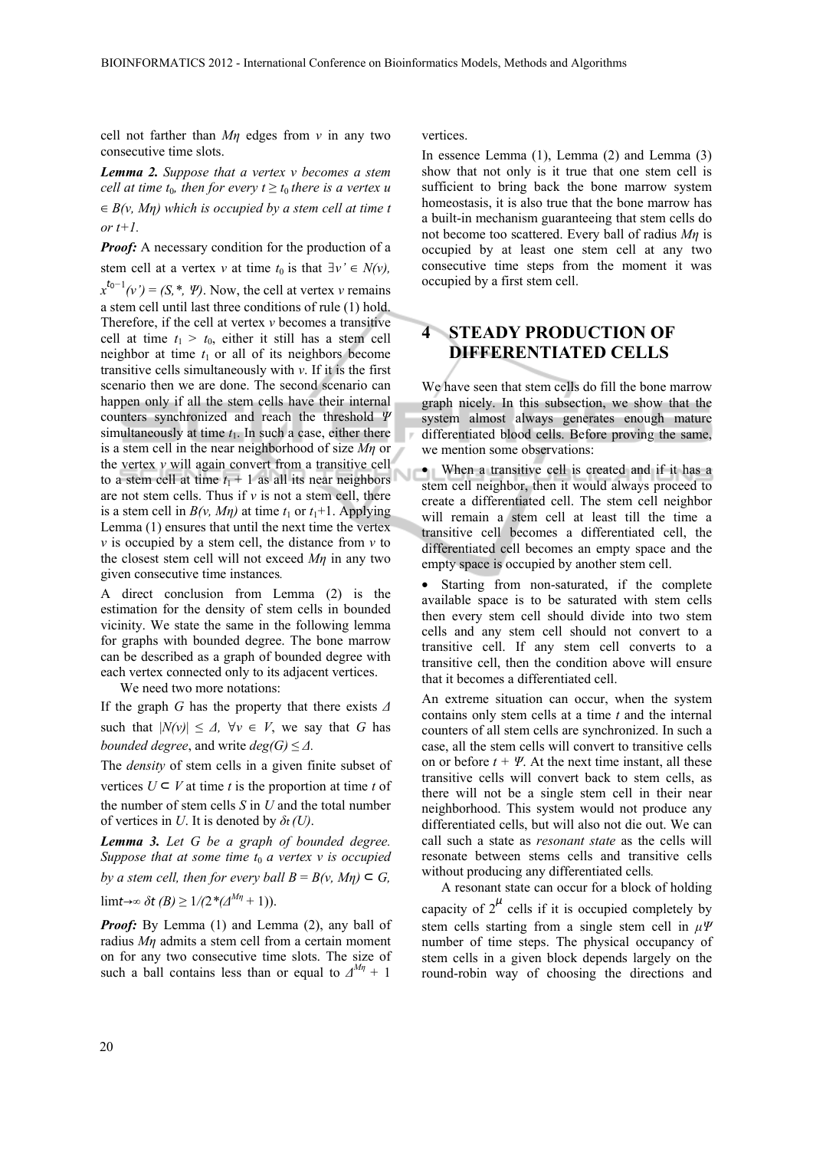cell not farther than *Mη* edges from *v* in any two consecutive time slots.

*Lemma 2. Suppose that a vertex v becomes a stem cell at time t<sub>0</sub>, then for every*  $t \geq t_0$  *there is a vertex u* ∈ *B(v, Mη) which is occupied by a stem cell at time t or t+1.* 

*Proof:* A necessary condition for the production of a stem cell at a vertex *v* at time  $t_0$  is that  $\exists v' \in N(v)$ ,  $x^{t_0-1}(v') = (S, *, \Psi)$ . Now, the cell at vertex *v* remains a stem cell until last three conditions of rule (1) hold. Therefore, if the cell at vertex *v* becomes a transitive cell at time  $t_1 > t_0$ , either it still has a stem cell neighbor at time  $t_1$  or all of its neighbors become transitive cells simultaneously with *v*. If it is the first scenario then we are done. The second scenario can happen only if all the stem cells have their internal counters synchronized and reach the threshold *Ψ* simultaneously at time  $t_1$ . In such a case, either there is a stem cell in the near neighborhood of size *Mη* or the vertex *v* will again convert from a transitive cell to a stem cell at time  $t_1 + 1$  as all its near neighbors are not stem cells. Thus if  $\nu$  is not a stem cell, there is a stem cell in  $B(v, M\eta)$  at time  $t_1$  or  $t_1+1$ . Applying Lemma (1) ensures that until the next time the vertex *v* is occupied by a stem cell, the distance from *v* to the closest stem cell will not exceed *Mη* in any two given consecutive time instances*.* 

A direct conclusion from Lemma (2) is the estimation for the density of stem cells in bounded vicinity. We state the same in the following lemma for graphs with bounded degree. The bone marrow can be described as a graph of bounded degree with each vertex connected only to its adjacent vertices.

We need two more notations:

If the graph *G* has the property that there exists *Δ* such that  $|N(v)| \leq \Delta$ ,  $\forall v \in V$ , we say that *G* has *bounded degree*, and write  $deg(G) \leq \Delta$ .

The *density* of stem cells in a given finite subset of vertices  $U \subseteq V$  at time *t* is the proportion at time *t* of the number of stem cells *S* in *U* and the total number of vertices in *U*. It is denoted by *δt (U)*.

*Lemma 3. Let G be a graph of bounded degree. Suppose that at some time*  $t_0$  *a vertex v is occupied by a stem cell, then for every ball*  $B = B(v, Mn) \subseteq G$ .

lim*t*→∞  $\delta t$  (*B*)  $\geq$  1/(2<sup>\*</sup>( $\Delta^{M\eta}$ +1)).

*Proof:* By Lemma (1) and Lemma (2), any ball of radius *Mη* admits a stem cell from a certain moment on for any two consecutive time slots. The size of such a ball contains less than or equal to  $\Delta^{M\eta}$  + 1

vertices.

In essence Lemma (1), Lemma (2) and Lemma (3) show that not only is it true that one stem cell is sufficient to bring back the bone marrow system homeostasis, it is also true that the bone marrow has a built-in mechanism guaranteeing that stem cells do not become too scattered. Every ball of radius *Mη* is occupied by at least one stem cell at any two consecutive time steps from the moment it was occupied by a first stem cell.

# **4 STEADY PRODUCTION OF DIFFERENTIATED CELLS**

We have seen that stem cells do fill the bone marrow graph nicely. In this subsection, we show that the system almost always generates enough mature differentiated blood cells. Before proving the same, we mention some observations:

• When a transitive cell is created and if it has a stem cell neighbor, then it would always proceed to create a differentiated cell. The stem cell neighbor will remain a stem cell at least till the time a transitive cell becomes a differentiated cell, the differentiated cell becomes an empty space and the empty space is occupied by another stem cell.

• Starting from non-saturated, if the complete available space is to be saturated with stem cells then every stem cell should divide into two stem cells and any stem cell should not convert to a transitive cell. If any stem cell converts to a transitive cell, then the condition above will ensure that it becomes a differentiated cell.

An extreme situation can occur, when the system contains only stem cells at a time *t* and the internal counters of all stem cells are synchronized. In such a case, all the stem cells will convert to transitive cells on or before  $t + \Psi$ . At the next time instant, all these transitive cells will convert back to stem cells, as there will not be a single stem cell in their near neighborhood. This system would not produce any differentiated cells, but will also not die out. We can call such a state as *resonant state* as the cells will resonate between stems cells and transitive cells without producing any differentiated cells*.* 

A resonant state can occur for a block of holding capacity of  $2^{\mu}$  cells if it is occupied completely by stem cells starting from a single stem cell in *μΨ* number of time steps. The physical occupancy of stem cells in a given block depends largely on the round-robin way of choosing the directions and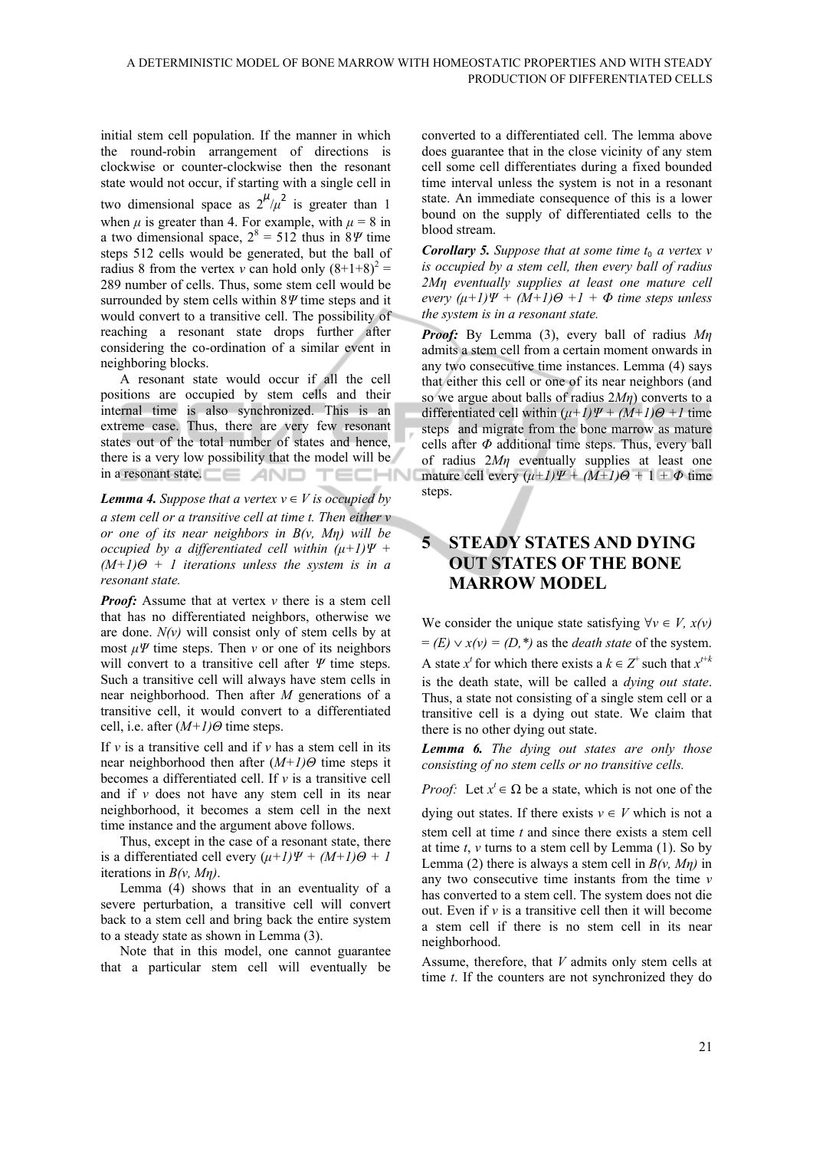initial stem cell population. If the manner in which the round-robin arrangement of directions is clockwise or counter-clockwise then the resonant state would not occur, if starting with a single cell in two dimensional space as  $2^{\mu}/\mu^2$  is greater than 1 when  $\mu$  is greater than 4. For example, with  $\mu = 8$  in a two dimensional space,  $2^8 = 512$  thus in  $8\%$  time steps 512 cells would be generated, but the ball of radius 8 from the vertex *v* can hold only  $(8+1+8)^2$  = 289 number of cells. Thus, some stem cell would be surrounded by stem cells within 8*Ψ* time steps and it would convert to a transitive cell. The possibility of reaching a resonant state drops further after considering the co-ordination of a similar event in neighboring blocks.

A resonant state would occur if all the cell positions are occupied by stem cells and their internal time is also synchronized. This is an extreme case. Thus, there are very few resonant states out of the total number of states and hence, there is a very low possibility that the model will be in a resonant state. TECHNI

#### *Lemma 4. Suppose that a vertex*  $v \in V$  *is occupied by*

*a stem cell or a transitive cell at time t. Then either v or one of its near neighbors in B(v, Mη) will be occupied by a differentiated cell within*  $(\mu+1)\Psi$  *+ (M+1)Θ + 1 iterations unless the system is in a resonant state.* 

*Proof:* Assume that at vertex *v* there is a stem cell that has no differentiated neighbors, otherwise we are done. *N(v)* will consist only of stem cells by at most  $\mu \Psi$  time steps. Then *v* or one of its neighbors will convert to a transitive cell after *Ψ* time steps. Such a transitive cell will always have stem cells in near neighborhood. Then after *M* generations of a transitive cell, it would convert to a differentiated cell, i.e. after (*M+1)Θ* time steps.

If  $\nu$  is a transitive cell and if  $\nu$  has a stem cell in its near neighborhood then after (*M+1)Θ* time steps it becomes a differentiated cell. If *v* is a transitive cell and if *v* does not have any stem cell in its near neighborhood, it becomes a stem cell in the next time instance and the argument above follows.

Thus, except in the case of a resonant state, there is a differentiated cell every  $(µ+I)\Psi + (M+I)\Theta + I$ iterations in *B(v, Mη)*.

Lemma (4) shows that in an eventuality of a severe perturbation, a transitive cell will convert back to a stem cell and bring back the entire system to a steady state as shown in Lemma (3).

Note that in this model, one cannot guarantee that a particular stem cell will eventually be converted to a differentiated cell. The lemma above does guarantee that in the close vicinity of any stem cell some cell differentiates during a fixed bounded time interval unless the system is not in a resonant state. An immediate consequence of this is a lower bound on the supply of differentiated cells to the blood stream.

*Corollary 5. Suppose that at some time*  $t_0$  *a vertex v is occupied by a stem cell, then every ball of radius 2Mη eventually supplies at least one mature cell every*  $(\mu+1)\Psi + (M+1)\Theta + I + \Phi$  *time steps unless the system is in a resonant state.* 

*Proof:* By Lemma (3), every ball of radius *Mη* admits a stem cell from a certain moment onwards in any two consecutive time instances. Lemma (4) says that either this cell or one of its near neighbors (and so we argue about balls of radius 2*Mη*) converts to a differentiated cell within  $(µ + I)\Psi + (M+I)\Theta + I$  time steps and migrate from the bone marrow as mature cells after *Φ* additional time steps. Thus, every ball of radius 2*Mη* eventually supplies at least one mature cell every  $(\mu + 1)\Psi + (M+1)\Theta + 1 + \Phi$  time steps.

# **5 STEADY STATES AND DYING OUT STATES OF THE BONE MARROW MODEL**

We consider the unique state satisfying  $\forall v \in V$ ,  $x(v)$  $=$  *(E)*  $\vee$  *x(v)* = *(D,*\*) as the *death state* of the system. A state  $x^t$  for which there exists a  $k \in \mathbb{Z}^+$  such that  $x^{t+k}$ is the death state, will be called a *dying out state*. Thus, a state not consisting of a single stem cell or a transitive cell is a dying out state. We claim that there is no other dying out state.

*Lemma 6. The dying out states are only those consisting of no stem cells or no transitive cells.* 

*Proof:* Let  $x' \in \Omega$  be a state, which is not one of the

dying out states. If there exists  $v \in V$  which is not a stem cell at time *t* and since there exists a stem cell at time  $t$ ,  $v$  turns to a stem cell by Lemma (1). So by Lemma (2) there is always a stem cell in  $B(v, M\eta)$  in any two consecutive time instants from the time *v* has converted to a stem cell. The system does not die out. Even if *v* is a transitive cell then it will become a stem cell if there is no stem cell in its near neighborhood.

Assume, therefore, that *V* admits only stem cells at time *t*. If the counters are not synchronized they do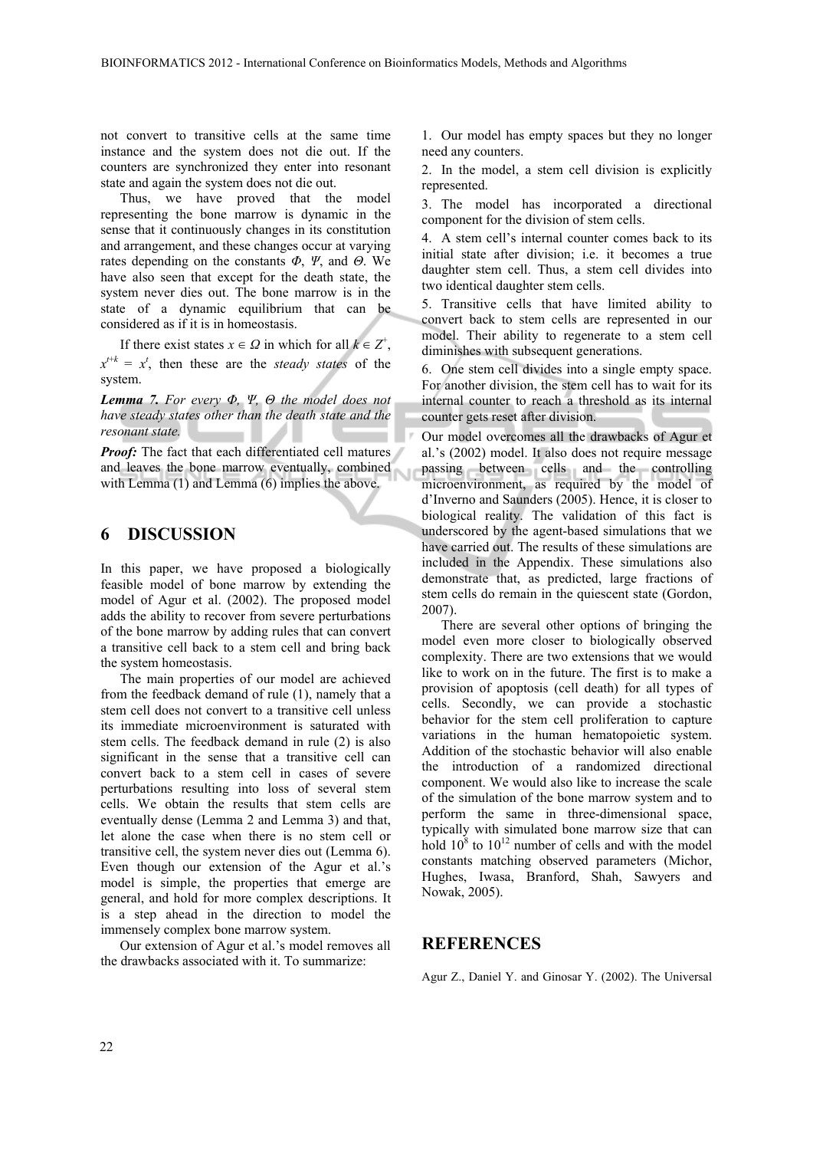not convert to transitive cells at the same time instance and the system does not die out. If the counters are synchronized they enter into resonant state and again the system does not die out.

Thus, we have proved that the model representing the bone marrow is dynamic in the sense that it continuously changes in its constitution and arrangement, and these changes occur at varying rates depending on the constants *Φ*, *Ψ*, and *Θ*. We have also seen that except for the death state, the system never dies out. The bone marrow is in the state of a dynamic equilibrium that can be considered as if it is in homeostasis.

If there exist states  $x \in \Omega$  in which for all  $k \in \mathbb{Z}^+$ ,  $x^{t+k} = x^t$ , then these are the *steady states* of the system.

*Lemma 7. For every Φ, Ψ, Θ the model does not have steady states other than the death state and the resonant state.* 

*Proof:* The fact that each differentiated cell matures and leaves the bone marrow eventually, combined with Lemma (1) and Lemma (6) implies the above.

#### **6 DISCUSSION**

In this paper, we have proposed a biologically feasible model of bone marrow by extending the model of Agur et al. (2002). The proposed model adds the ability to recover from severe perturbations of the bone marrow by adding rules that can convert a transitive cell back to a stem cell and bring back the system homeostasis.

The main properties of our model are achieved from the feedback demand of rule (1), namely that a stem cell does not convert to a transitive cell unless its immediate microenvironment is saturated with stem cells. The feedback demand in rule (2) is also significant in the sense that a transitive cell can convert back to a stem cell in cases of severe perturbations resulting into loss of several stem cells. We obtain the results that stem cells are eventually dense (Lemma 2 and Lemma 3) and that, let alone the case when there is no stem cell or transitive cell, the system never dies out (Lemma 6). Even though our extension of the Agur et al.'s model is simple, the properties that emerge are general, and hold for more complex descriptions. It is a step ahead in the direction to model the immensely complex bone marrow system.

Our extension of Agur et al.'s model removes all the drawbacks associated with it. To summarize:

1. Our model has empty spaces but they no longer need any counters.

2. In the model, a stem cell division is explicitly represented.

3. The model has incorporated a directional component for the division of stem cells.

4. A stem cell's internal counter comes back to its initial state after division; i.e. it becomes a true daughter stem cell. Thus, a stem cell divides into two identical daughter stem cells.

5. Transitive cells that have limited ability to convert back to stem cells are represented in our model. Their ability to regenerate to a stem cell diminishes with subsequent generations.

6. One stem cell divides into a single empty space. For another division, the stem cell has to wait for its internal counter to reach a threshold as its internal counter gets reset after division.

Our model overcomes all the drawbacks of Agur et al.'s (2002) model. It also does not require message passing between cells and the controlling microenvironment, as required by the model of d'Inverno and Saunders (2005). Hence, it is closer to biological reality. The validation of this fact is underscored by the agent-based simulations that we have carried out. The results of these simulations are included in the Appendix. These simulations also demonstrate that, as predicted, large fractions of stem cells do remain in the quiescent state (Gordon, 2007).

There are several other options of bringing the model even more closer to biologically observed complexity. There are two extensions that we would like to work on in the future. The first is to make a provision of apoptosis (cell death) for all types of cells. Secondly, we can provide a stochastic behavior for the stem cell proliferation to capture variations in the human hematopoietic system. Addition of the stochastic behavior will also enable the introduction of a randomized directional component. We would also like to increase the scale of the simulation of the bone marrow system and to perform the same in three-dimensional space, typically with simulated bone marrow size that can hold  $10^8$  to  $10^{12}$  number of cells and with the model constants matching observed parameters (Michor, Hughes, Iwasa, Branford, Shah, Sawyers and Nowak, 2005).

#### **REFERENCES**

Agur Z., Daniel Y. and Ginosar Y. (2002). The Universal